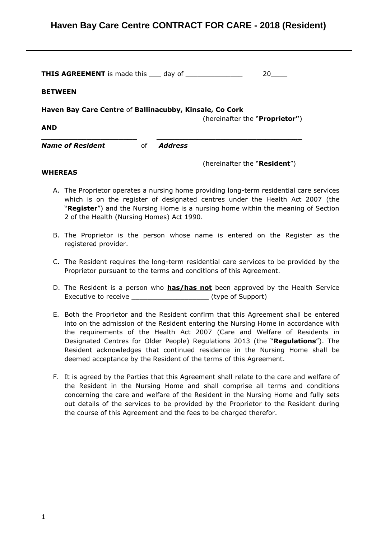### **Haven Bay Care Centre CONTRACT FOR CARE - 2018 (Resident)**

| <b>THIS AGREEMENT</b> is made this same day of          |    |                |                              | 20.                            |
|---------------------------------------------------------|----|----------------|------------------------------|--------------------------------|
| <b>BETWEEN</b>                                          |    |                |                              |                                |
| Haven Bay Care Centre of Ballinacubby, Kinsale, Co Cork |    |                |                              | (hereinafter the "Proprietor") |
| <b>AND</b>                                              |    |                |                              |                                |
| <b>Name of Resident</b>                                 | Ωf | <b>Address</b> |                              |                                |
|                                                         |    |                | (hereinafter the "Resident") |                                |

#### **WHEREAS**

- A. The Proprietor operates a nursing home providing long-term residential care services which is on the register of designated centres under the Health Act 2007 (the "**Register**") and the Nursing Home is a nursing home within the meaning of Section 2 of the Health (Nursing Homes) Act 1990.
- B. The Proprietor is the person whose name is entered on the Register as the registered provider.
- C. The Resident requires the long-term residential care services to be provided by the Proprietor pursuant to the terms and conditions of this Agreement.
- D. The Resident is a person who **has/has not** been approved by the Health Service Executive to receive \_\_\_\_\_\_\_\_\_\_\_\_\_\_\_\_\_\_\_\_\_\_\_\_\_(type of Support)
- E. Both the Proprietor and the Resident confirm that this Agreement shall be entered into on the admission of the Resident entering the Nursing Home in accordance with the requirements of the Health Act 2007 (Care and Welfare of Residents in Designated Centres for Older People) Regulations 2013 (the "**Regulations**"). The Resident acknowledges that continued residence in the Nursing Home shall be deemed acceptance by the Resident of the terms of this Agreement.
- F. It is agreed by the Parties that this Agreement shall relate to the care and welfare of the Resident in the Nursing Home and shall comprise all terms and conditions concerning the care and welfare of the Resident in the Nursing Home and fully sets out details of the services to be provided by the Proprietor to the Resident during the course of this Agreement and the fees to be charged therefor.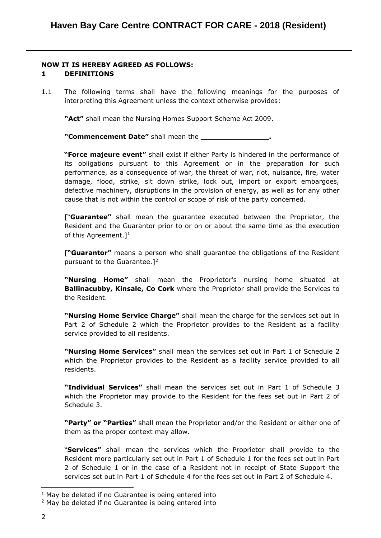#### **NOW IT IS HEREBY AGREED AS FOLLOWS: 1 DEFINITIONS**

1.1 The following terms shall have the following meanings for the purposes of interpreting this Agreement unless the context otherwise provides:

**"Act"** shall mean the Nursing Homes Support Scheme Act 2009.

**"Commencement Date"** shall mean the **\_\_\_\_\_\_\_\_\_\_\_\_\_\_\_.**

**"Force majeure event"** shall exist if either Party is hindered in the performance of its obligations pursuant to this Agreement or in the preparation for such performance, as a consequence of war, the threat of war, riot, nuisance, fire, water damage, flood, strike, sit down strike, lock out, import or export embargoes, defective machinery, disruptions in the provision of energy, as well as for any other cause that is not within the control or scope of risk of the party concerned.

["**Guarantee"** shall mean the guarantee executed between the Proprietor, the Resident and the Guarantor prior to or on or about the same time as the execution of this Agreement.]<sup>1</sup>

[**"Guarantor"** means a person who shall guarantee the obligations of the Resident pursuant to the Guarantee.]<sup>2</sup>

**"Nursing Home"** shall mean the Proprietor's nursing home situated at **Ballinacubby, Kinsale, Co Cork** where the Proprietor shall provide the Services to the Resident.

**"Nursing Home Service Charge"** shall mean the charge for the services set out in Part 2 of Schedule 2 which the Proprietor provides to the Resident as a facility service provided to all residents.

**"Nursing Home Services"** shall mean the services set out in Part 1 of Schedule 2 which the Proprietor provides to the Resident as a facility service provided to all residents.

**"Individual Services"** shall mean the services set out in Part 1 of Schedule 3 which the Proprietor may provide to the Resident for the fees set out in Part 2 of Schedule 3.

**"Party" or "Parties"** shall mean the Proprietor and/or the Resident or either one of them as the proper context may allow.

"**Services"** shall mean the services which the Proprietor shall provide to the Resident more particularly set out in Part 1 of Schedule 1 for the fees set out in Part 2 of Schedule 1 or in the case of a Resident not in receipt of State Support the services set out in Part 1 of Schedule 4 for the fees set out in Part 2 of Schedule 4.

-

 $1$  May be deleted if no Guarantee is being entered into

<sup>2</sup> May be deleted if no Guarantee is being entered into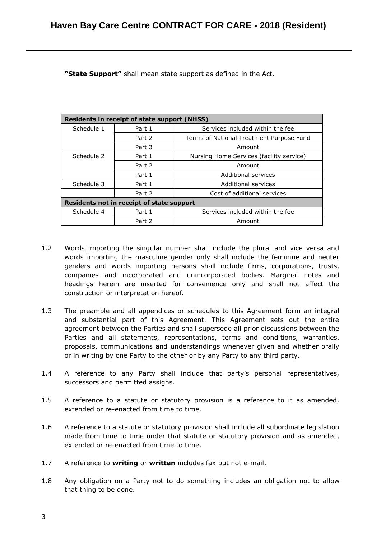**"State Support"** shall mean state support as defined in the Act.

| <b>Residents in receipt of state support (NHSS)</b> |                                           |                                          |  |  |  |  |  |  |
|-----------------------------------------------------|-------------------------------------------|------------------------------------------|--|--|--|--|--|--|
| Schedule 1                                          | Part 1                                    | Services included within the fee         |  |  |  |  |  |  |
|                                                     | Part 2                                    | Terms of National Treatment Purpose Fund |  |  |  |  |  |  |
|                                                     | Part 3                                    | Amount                                   |  |  |  |  |  |  |
| Schedule 2                                          | Part 1                                    | Nursing Home Services (facility service) |  |  |  |  |  |  |
|                                                     | Part 2                                    | Amount                                   |  |  |  |  |  |  |
|                                                     | Part 1                                    | Additional services                      |  |  |  |  |  |  |
| Schedule 3                                          | Part 1                                    | Additional services                      |  |  |  |  |  |  |
|                                                     | Part 2                                    | Cost of additional services              |  |  |  |  |  |  |
|                                                     | Residents not in receipt of state support |                                          |  |  |  |  |  |  |
| Schedule 4                                          | Part 1                                    | Services included within the fee         |  |  |  |  |  |  |
|                                                     | Part 2                                    | Amount                                   |  |  |  |  |  |  |

- 1.2 Words importing the singular number shall include the plural and vice versa and words importing the masculine gender only shall include the feminine and neuter genders and words importing persons shall include firms, corporations, trusts, companies and incorporated and unincorporated bodies. Marginal notes and headings herein are inserted for convenience only and shall not affect the construction or interpretation hereof.
- 1.3 The preamble and all appendices or schedules to this Agreement form an integral and substantial part of this Agreement. This Agreement sets out the entire agreement between the Parties and shall supersede all prior discussions between the Parties and all statements, representations, terms and conditions, warranties, proposals, communications and understandings whenever given and whether orally or in writing by one Party to the other or by any Party to any third party.
- 1.4 A reference to any Party shall include that party's personal representatives, successors and permitted assigns.
- 1.5 A reference to a statute or statutory provision is a reference to it as amended, extended or re-enacted from time to time.
- 1.6 A reference to a statute or statutory provision shall include all subordinate legislation made from time to time under that statute or statutory provision and as amended, extended or re-enacted from time to time.
- 1.7 A reference to **writing** or **written** includes fax but not e-mail.
- 1.8 Any obligation on a Party not to do something includes an obligation not to allow that thing to be done.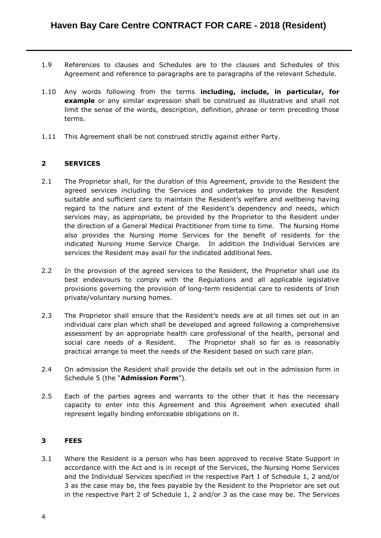- 1.9 References to clauses and Schedules are to the clauses and Schedules of this Agreement and reference to paragraphs are to paragraphs of the relevant Schedule.
- 1.10 Any words following from the terms **including, include, in particular, for example** or any similar expression shall be construed as illustrative and shall not limit the sense of the words, description, definition, phrase or term preceding those terms.
- 1.11 This Agreement shall be not construed strictly against either Party.

#### **2 SERVICES**

- 2.1 The Proprietor shall, for the duration of this Agreement, provide to the Resident the agreed services including the Services and undertakes to provide the Resident suitable and sufficient care to maintain the Resident's welfare and wellbeing having regard to the nature and extent of the Resident's dependency and needs, which services may, as appropriate, be provided by the Proprietor to the Resident under the direction of a General Medical Practitioner from time to time. The Nursing Home also provides the Nursing Home Services for the benefit of residents for the indicated Nursing Home Service Charge. In addition the Individual Services are services the Resident may avail for the indicated additional fees.
- 2.2 In the provision of the agreed services to the Resident, the Proprietor shall use its best endeavours to comply with the Regulations and all applicable legislative provisions governing the provision of long-term residential care to residents of Irish private/voluntary nursing homes.
- 2.3 The Proprietor shall ensure that the Resident's needs are at all times set out in an individual care plan which shall be developed and agreed following a comprehensive assessment by an appropriate health care professional of the health, personal and social care needs of a Resident. The Proprietor shall so far as is reasonably practical arrange to meet the needs of the Resident based on such care plan.
- 2.4 On admission the Resident shall provide the details set out in the admission form in Schedule 5 (the "**Admission Form**").
- 2.5 Each of the parties agrees and warrants to the other that it has the necessary capacity to enter into this Agreement and this Agreement when executed shall represent legally binding enforceable obligations on it.

#### **3 FEES**

3.1 Where the Resident is a person who has been approved to receive State Support in accordance with the Act and is in receipt of the Services, the Nursing Home Services and the Individual Services specified in the respective Part 1 of Schedule 1, 2 and/or 3 as the case may be, the fees payable by the Resident to the Proprietor are set out in the respective Part 2 of Schedule 1, 2 and/or 3 as the case may be. The Services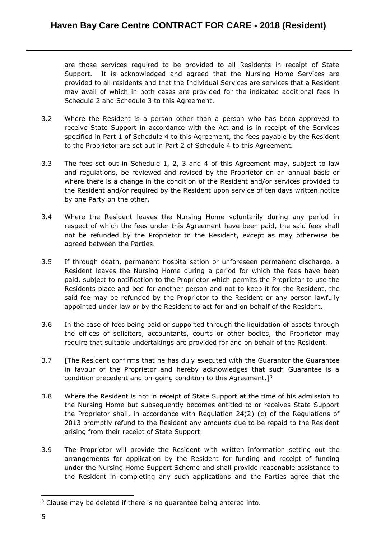are those services required to be provided to all Residents in receipt of State Support. It is acknowledged and agreed that the Nursing Home Services are provided to all residents and that the Individual Services are services that a Resident may avail of which in both cases are provided for the indicated additional fees in Schedule 2 and Schedule 3 to this Agreement.

- 3.2 Where the Resident is a person other than a person who has been approved to receive State Support in accordance with the Act and is in receipt of the Services specified in Part 1 of Schedule 4 to this Agreement, the fees payable by the Resident to the Proprietor are set out in Part 2 of Schedule 4 to this Agreement.
- 3.3 The fees set out in Schedule 1, 2, 3 and 4 of this Agreement may, subject to law and regulations, be reviewed and revised by the Proprietor on an annual basis or where there is a change in the condition of the Resident and/or services provided to the Resident and/or required by the Resident upon service of ten days written notice by one Party on the other.
- 3.4 Where the Resident leaves the Nursing Home voluntarily during any period in respect of which the fees under this Agreement have been paid, the said fees shall not be refunded by the Proprietor to the Resident, except as may otherwise be agreed between the Parties.
- 3.5 If through death, permanent hospitalisation or unforeseen permanent discharge, a Resident leaves the Nursing Home during a period for which the fees have been paid, subject to notification to the Proprietor which permits the Proprietor to use the Residents place and bed for another person and not to keep it for the Resident, the said fee may be refunded by the Proprietor to the Resident or any person lawfully appointed under law or by the Resident to act for and on behalf of the Resident.
- 3.6 In the case of fees being paid or supported through the liquidation of assets through the offices of solicitors, accountants, courts or other bodies, the Proprietor may require that suitable undertakings are provided for and on behalf of the Resident.
- 3.7 [The Resident confirms that he has duly executed with the Guarantor the Guarantee in favour of the Proprietor and hereby acknowledges that such Guarantee is a condition precedent and on-going condition to this Agreement.]<sup>3</sup>
- 3.8 Where the Resident is not in receipt of State Support at the time of his admission to the Nursing Home but subsequently becomes entitled to or receives State Support the Proprietor shall, in accordance with Regulation 24(2) (c) of the Regulations of 2013 promptly refund to the Resident any amounts due to be repaid to the Resident arising from their receipt of State Support.
- 3.9 The Proprietor will provide the Resident with written information setting out the arrangements for application by the Resident for funding and receipt of funding under the Nursing Home Support Scheme and shall provide reasonable assistance to the Resident in completing any such applications and the Parties agree that the

-

<sup>&</sup>lt;sup>3</sup> Clause may be deleted if there is no guarantee being entered into.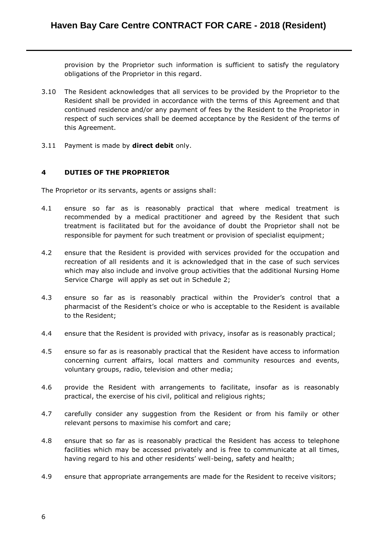provision by the Proprietor such information is sufficient to satisfy the regulatory obligations of the Proprietor in this regard.

- 3.10 The Resident acknowledges that all services to be provided by the Proprietor to the Resident shall be provided in accordance with the terms of this Agreement and that continued residence and/or any payment of fees by the Resident to the Proprietor in respect of such services shall be deemed acceptance by the Resident of the terms of this Agreement.
- 3.11 Payment is made by **direct debit** only.

#### **4 DUTIES OF THE PROPRIETOR**

The Proprietor or its servants, agents or assigns shall:

- 4.1 ensure so far as is reasonably practical that where medical treatment is recommended by a medical practitioner and agreed by the Resident that such treatment is facilitated but for the avoidance of doubt the Proprietor shall not be responsible for payment for such treatment or provision of specialist equipment;
- 4.2 ensure that the Resident is provided with services provided for the occupation and recreation of all residents and it is acknowledged that in the case of such services which may also include and involve group activities that the additional Nursing Home Service Charge will apply as set out in Schedule 2;
- 4.3 ensure so far as is reasonably practical within the Provider's control that a pharmacist of the Resident's choice or who is acceptable to the Resident is available to the Resident;
- 4.4 ensure that the Resident is provided with privacy, insofar as is reasonably practical;
- 4.5 ensure so far as is reasonably practical that the Resident have access to information concerning current affairs, local matters and community resources and events, voluntary groups, radio, television and other media;
- 4.6 provide the Resident with arrangements to facilitate, insofar as is reasonably practical, the exercise of his civil, political and religious rights;
- 4.7 carefully consider any suggestion from the Resident or from his family or other relevant persons to maximise his comfort and care;
- 4.8 ensure that so far as is reasonably practical the Resident has access to telephone facilities which may be accessed privately and is free to communicate at all times, having regard to his and other residents' well-being, safety and health;
- 4.9 ensure that appropriate arrangements are made for the Resident to receive visitors;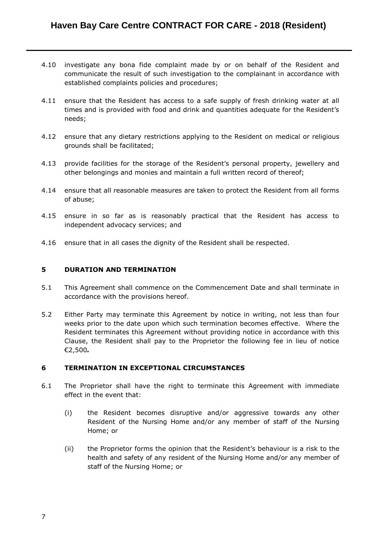- 4.10 investigate any bona fide complaint made by or on behalf of the Resident and communicate the result of such investigation to the complainant in accordance with established complaints policies and procedures;
- 4.11 ensure that the Resident has access to a safe supply of fresh drinking water at all times and is provided with food and drink and quantities adequate for the Resident's needs;
- 4.12 ensure that any dietary restrictions applying to the Resident on medical or religious grounds shall be facilitated;
- 4.13 provide facilities for the storage of the Resident's personal property, jewellery and other belongings and monies and maintain a full written record of thereof;
- 4.14 ensure that all reasonable measures are taken to protect the Resident from all forms of abuse;
- 4.15 ensure in so far as is reasonably practical that the Resident has access to independent advocacy services; and
- 4.16 ensure that in all cases the dignity of the Resident shall be respected.

#### **5 DURATION AND TERMINATION**

- 5.1 This Agreement shall commence on the Commencement Date and shall terminate in accordance with the provisions hereof.
- 5.2 Either Party may terminate this Agreement by notice in writing, not less than four weeks prior to the date upon which such termination becomes effective. Where the Resident terminates this Agreement without providing notice in accordance with this Clause, the Resident shall pay to the Proprietor the following fee in lieu of notice €2,500*.*

#### **6 TERMINATION IN EXCEPTIONAL CIRCUMSTANCES**

- 6.1 The Proprietor shall have the right to terminate this Agreement with immediate effect in the event that:
	- (i) the Resident becomes disruptive and/or aggressive towards any other Resident of the Nursing Home and/or any member of staff of the Nursing Home; or
	- (ii) the Proprietor forms the opinion that the Resident's behaviour is a risk to the health and safety of any resident of the Nursing Home and/or any member of staff of the Nursing Home; or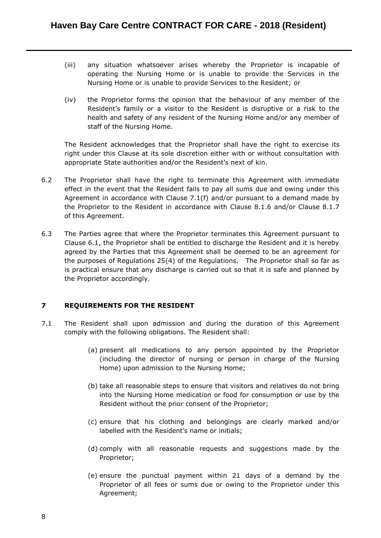- (iii) any situation whatsoever arises whereby the Proprietor is incapable of operating the Nursing Home or is unable to provide the Services in the Nursing Home or is unable to provide Services to the Resident; or
- (iv) the Proprietor forms the opinion that the behaviour of any member of the Resident's family or a visitor to the Resident is disruptive or a risk to the health and safety of any resident of the Nursing Home and/or any member of staff of the Nursing Home.

The Resident acknowledges that the Proprietor shall have the right to exercise its right under this Clause at its sole discretion either with or without consultation with appropriate State authorities and/or the Resident's next of kin.

- 6.2 The Proprietor shall have the right to terminate this Agreement with immediate effect in the event that the Resident fails to pay all sums due and owing under this Agreement in accordance with Clause 7.1(f) and/or pursuant to a demand made by the Proprietor to the Resident in accordance with Clause 8.1.6 and/or Clause 8.1.7 of this Agreement.
- 6.3 The Parties agree that where the Proprietor terminates this Agreement pursuant to Clause 6.1, the Proprietor shall be entitled to discharge the Resident and it is hereby agreed by the Parties that this Agreement shall be deemed to be an agreement for the purposes of Regulations 25(4) of the Regulations. The Proprietor shall so far as is practical ensure that any discharge is carried out so that it is safe and planned by the Proprietor accordingly.

### **7 REQUIREMENTS FOR THE RESIDENT**

- 7.1 The Resident shall upon admission and during the duration of this Agreement comply with the following obligations. The Resident shall:
	- (a) present all medications to any person appointed by the Proprietor (including the director of nursing or person in charge of the Nursing Home) upon admission to the Nursing Home;
	- (b) take all reasonable steps to ensure that visitors and relatives do not bring into the Nursing Home medication or food for consumption or use by the Resident without the prior consent of the Proprietor;
	- (c) ensure that his clothing and belongings are clearly marked and/or labelled with the Resident's name or initials;
	- (d) comply with all reasonable requests and suggestions made by the Proprietor;
	- (e) ensure the punctual payment within 21 days of a demand by the Proprietor of all fees or sums due or owing to the Proprietor under this Agreement;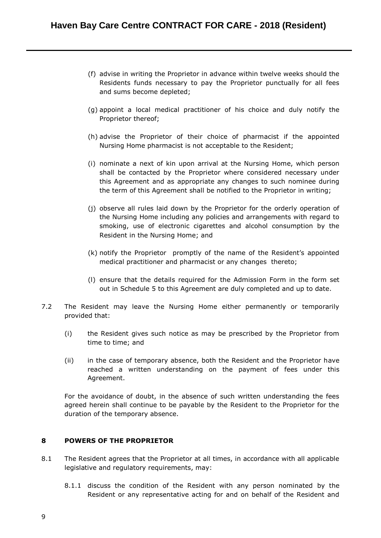- (f) advise in writing the Proprietor in advance within twelve weeks should the Residents funds necessary to pay the Proprietor punctually for all fees and sums become depleted;
- (g) appoint a local medical practitioner of his choice and duly notify the Proprietor thereof;
- (h) advise the Proprietor of their choice of pharmacist if the appointed Nursing Home pharmacist is not acceptable to the Resident;
- (i) nominate a next of kin upon arrival at the Nursing Home, which person shall be contacted by the Proprietor where considered necessary under this Agreement and as appropriate any changes to such nominee during the term of this Agreement shall be notified to the Proprietor in writing;
- (j) observe all rules laid down by the Proprietor for the orderly operation of the Nursing Home including any policies and arrangements with regard to smoking, use of electronic cigarettes and alcohol consumption by the Resident in the Nursing Home; and
- (k) notify the Proprietor promptly of the name of the Resident's appointed medical practitioner and pharmacist or any changes thereto;
- (l) ensure that the details required for the Admission Form in the form set out in Schedule 5 to this Agreement are duly completed and up to date.
- 7.2 The Resident may leave the Nursing Home either permanently or temporarily provided that:
	- (i) the Resident gives such notice as may be prescribed by the Proprietor from time to time; and
	- (ii) in the case of temporary absence, both the Resident and the Proprietor have reached a written understanding on the payment of fees under this Agreement.

For the avoidance of doubt, in the absence of such written understanding the fees agreed herein shall continue to be payable by the Resident to the Proprietor for the duration of the temporary absence.

#### **8 POWERS OF THE PROPRIETOR**

- 8.1 The Resident agrees that the Proprietor at all times, in accordance with all applicable legislative and regulatory requirements, may:
	- 8.1.1 discuss the condition of the Resident with any person nominated by the Resident or any representative acting for and on behalf of the Resident and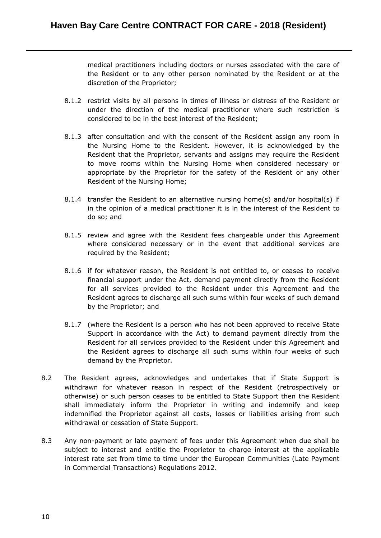medical practitioners including doctors or nurses associated with the care of the Resident or to any other person nominated by the Resident or at the discretion of the Proprietor;

- 8.1.2 restrict visits by all persons in times of illness or distress of the Resident or under the direction of the medical practitioner where such restriction is considered to be in the best interest of the Resident;
- 8.1.3 after consultation and with the consent of the Resident assign any room in the Nursing Home to the Resident. However, it is acknowledged by the Resident that the Proprietor, servants and assigns may require the Resident to move rooms within the Nursing Home when considered necessary or appropriate by the Proprietor for the safety of the Resident or any other Resident of the Nursing Home;
- 8.1.4 transfer the Resident to an alternative nursing home(s) and/or hospital(s) if in the opinion of a medical practitioner it is in the interest of the Resident to do so; and
- 8.1.5 review and agree with the Resident fees chargeable under this Agreement where considered necessary or in the event that additional services are required by the Resident;
- 8.1.6 if for whatever reason, the Resident is not entitled to, or ceases to receive financial support under the Act, demand payment directly from the Resident for all services provided to the Resident under this Agreement and the Resident agrees to discharge all such sums within four weeks of such demand by the Proprietor; and
- 8.1.7 (where the Resident is a person who has not been approved to receive State Support in accordance with the Act) to demand payment directly from the Resident for all services provided to the Resident under this Agreement and the Resident agrees to discharge all such sums within four weeks of such demand by the Proprietor.
- 8.2 The Resident agrees, acknowledges and undertakes that if State Support is withdrawn for whatever reason in respect of the Resident (retrospectively or otherwise) or such person ceases to be entitled to State Support then the Resident shall immediately inform the Proprietor in writing and indemnify and keep indemnified the Proprietor against all costs, losses or liabilities arising from such withdrawal or cessation of State Support.
- 8.3 Any non-payment or late payment of fees under this Agreement when due shall be subject to interest and entitle the Proprietor to charge interest at the applicable interest rate set from time to time under the European Communities (Late Payment in Commercial Transactions) Regulations 2012.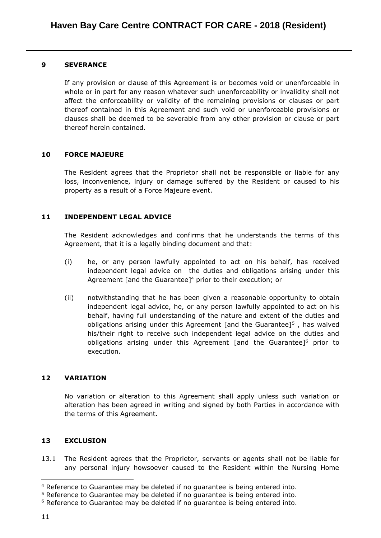#### **9 SEVERANCE**

If any provision or clause of this Agreement is or becomes void or unenforceable in whole or in part for any reason whatever such unenforceability or invalidity shall not affect the enforceability or validity of the remaining provisions or clauses or part thereof contained in this Agreement and such void or unenforceable provisions or clauses shall be deemed to be severable from any other provision or clause or part thereof herein contained.

#### **10 FORCE MAJEURE**

The Resident agrees that the Proprietor shall not be responsible or liable for any loss, inconvenience, injury or damage suffered by the Resident or caused to his property as a result of a Force Majeure event.

#### **11 INDEPENDENT LEGAL ADVICE**

The Resident acknowledges and confirms that he understands the terms of this Agreement, that it is a legally binding document and that:

- (i) he, or any person lawfully appointed to act on his behalf, has received independent legal advice on the duties and obligations arising under this Agreement [and the Guarantee] <sup>4</sup> prior to their execution; or
- (ii) notwithstanding that he has been given a reasonable opportunity to obtain independent legal advice, he, or any person lawfully appointed to act on his behalf, having full understanding of the nature and extent of the duties and obligations arising under this Agreement [and the Guarantee] $<sup>5</sup>$ , has waived</sup> his/their right to receive such independent legal advice on the duties and obligations arising under this Agreement [and the Guarantee] <sup>6</sup> prior to execution.

#### **12 VARIATION**

No variation or alteration to this Agreement shall apply unless such variation or alteration has been agreed in writing and signed by both Parties in accordance with the terms of this Agreement.

#### **13 EXCLUSION**

13.1 The Resident agrees that the Proprietor, servants or agents shall not be liable for any personal injury howsoever caused to the Resident within the Nursing Home

-

<sup>4</sup> Reference to Guarantee may be deleted if no guarantee is being entered into.

<sup>5</sup> Reference to Guarantee may be deleted if no guarantee is being entered into.

<sup>&</sup>lt;sup>6</sup> Reference to Guarantee may be deleted if no guarantee is being entered into.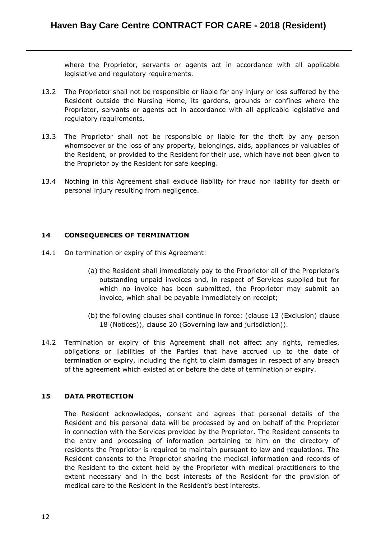where the Proprietor, servants or agents act in accordance with all applicable legislative and regulatory requirements.

- 13.2 The Proprietor shall not be responsible or liable for any injury or loss suffered by the Resident outside the Nursing Home, its gardens, grounds or confines where the Proprietor, servants or agents act in accordance with all applicable legislative and regulatory requirements.
- 13.3 The Proprietor shall not be responsible or liable for the theft by any person whomsoever or the loss of any property, belongings, aids, appliances or valuables of the Resident, or provided to the Resident for their use, which have not been given to the Proprietor by the Resident for safe keeping.
- 13.4 Nothing in this Agreement shall exclude liability for fraud nor liability for death or personal injury resulting from negligence.

#### **14 CONSEQUENCES OF TERMINATION**

- 14.1 On termination or expiry of this Agreement:
	- (a) the Resident shall immediately pay to the Proprietor all of the Proprietor's outstanding unpaid invoices and, in respect of Services supplied but for which no invoice has been submitted, the Proprietor may submit an invoice, which shall be payable immediately on receipt;
	- (b) the following clauses shall continue in force: (clause 13 (Exclusion) clause 18 (Notices)), clause 20 (Governing law and jurisdiction)).
- 14.2 Termination or expiry of this Agreement shall not affect any rights, remedies, obligations or liabilities of the Parties that have accrued up to the date of termination or expiry, including the right to claim damages in respect of any breach of the agreement which existed at or before the date of termination or expiry.

#### **15 DATA PROTECTION**

The Resident acknowledges, consent and agrees that personal details of the Resident and his personal data will be processed by and on behalf of the Proprietor in connection with the Services provided by the Proprietor. The Resident consents to the entry and processing of information pertaining to him on the directory of residents the Proprietor is required to maintain pursuant to law and regulations. The Resident consents to the Proprietor sharing the medical information and records of the Resident to the extent held by the Proprietor with medical practitioners to the extent necessary and in the best interests of the Resident for the provision of medical care to the Resident in the Resident's best interests.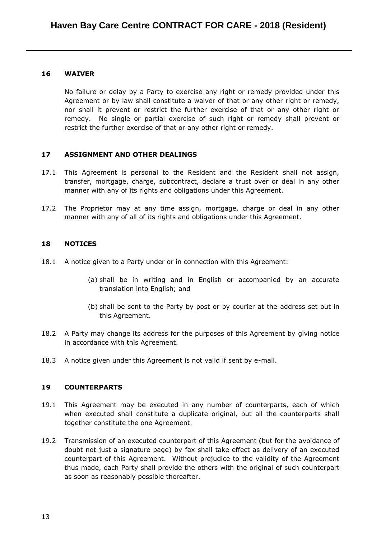#### **16 WAIVER**

No failure or delay by a Party to exercise any right or remedy provided under this Agreement or by law shall constitute a waiver of that or any other right or remedy, nor shall it prevent or restrict the further exercise of that or any other right or remedy. No single or partial exercise of such right or remedy shall prevent or restrict the further exercise of that or any other right or remedy.

#### **17 ASSIGNMENT AND OTHER DEALINGS**

- 17.1 This Agreement is personal to the Resident and the Resident shall not assign, transfer, mortgage, charge, subcontract, declare a trust over or deal in any other manner with any of its rights and obligations under this Agreement.
- 17.2 The Proprietor may at any time assign, mortgage, charge or deal in any other manner with any of all of its rights and obligations under this Agreement.

#### **18 NOTICES**

- 18.1 A notice given to a Party under or in connection with this Agreement:
	- (a) shall be in writing and in English or accompanied by an accurate translation into English; and
	- (b) shall be sent to the Party by post or by courier at the address set out in this Agreement.
- 18.2 A Party may change its address for the purposes of this Agreement by giving notice in accordance with this Agreement.
- 18.3 A notice given under this Agreement is not valid if sent by e-mail.

#### **19 COUNTERPARTS**

- 19.1 This Agreement may be executed in any number of counterparts, each of which when executed shall constitute a duplicate original, but all the counterparts shall together constitute the one Agreement.
- 19.2 Transmission of an executed counterpart of this Agreement (but for the avoidance of doubt not just a signature page) by fax shall take effect as delivery of an executed counterpart of this Agreement. Without prejudice to the validity of the Agreement thus made, each Party shall provide the others with the original of such counterpart as soon as reasonably possible thereafter.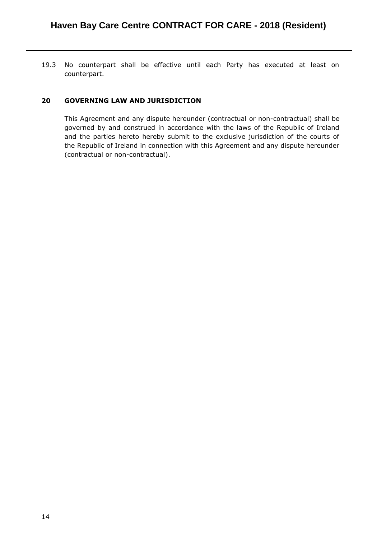19.3 No counterpart shall be effective until each Party has executed at least on counterpart.

#### **20 GOVERNING LAW AND JURISDICTION**

This Agreement and any dispute hereunder (contractual or non-contractual) shall be governed by and construed in accordance with the laws of the Republic of Ireland and the parties hereto hereby submit to the exclusive jurisdiction of the courts of the Republic of Ireland in connection with this Agreement and any dispute hereunder (contractual or non-contractual).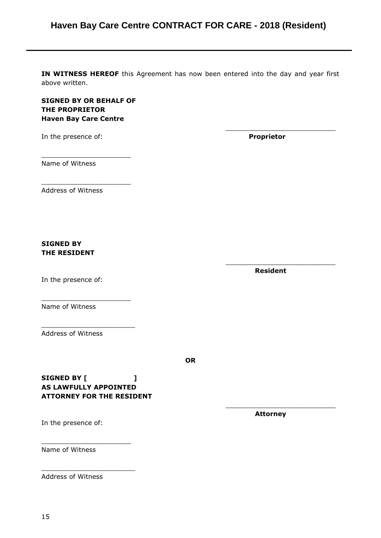## **Haven Bay Care Centre CONTRACT FOR CARE - 2018 (Resident)**

**IN WITNESS HEREOF** this Agreement has now been entered into the day and year first above written.

**SIGNED BY OR BEHALF OF THE PROPRIETOR Haven Bay Care Centre**

\_\_\_\_\_\_\_\_\_\_\_\_\_\_\_\_\_\_\_\_\_\_

\_\_\_\_\_\_\_\_\_\_\_\_\_\_\_\_\_\_\_\_\_\_

In the presence of: **Proprietor**

Name of Witness

Address of Witness

#### **SIGNED BY THE RESIDENT**

In the presence of:

\_\_\_\_\_\_\_\_\_\_\_\_\_\_\_\_\_\_\_\_\_\_

\_\_\_\_\_\_\_\_\_\_\_\_\_\_\_\_\_\_\_\_\_\_\_

Name of Witness

Address of Witness

**OR**

### **SIGNED BY [ ] AS LAWFULLY APPOINTED ATTORNEY FOR THE RESIDENT**

In the presence of:

\_\_\_\_\_\_\_\_\_\_\_\_\_\_\_\_\_\_\_\_\_\_

\_\_\_\_\_\_\_\_\_\_\_\_\_\_\_\_\_\_\_\_\_\_\_

Name of Witness

Address of Witness

**Resident**

\_\_\_\_\_\_\_\_\_\_\_\_\_\_\_\_\_\_\_\_\_\_\_\_\_\_\_

**Attorney**

\_\_\_\_\_\_\_\_\_\_\_\_\_\_\_\_\_\_\_\_\_\_\_\_\_\_\_

\_\_\_\_\_\_\_\_\_\_\_\_\_\_\_\_\_\_\_\_\_\_\_\_\_\_\_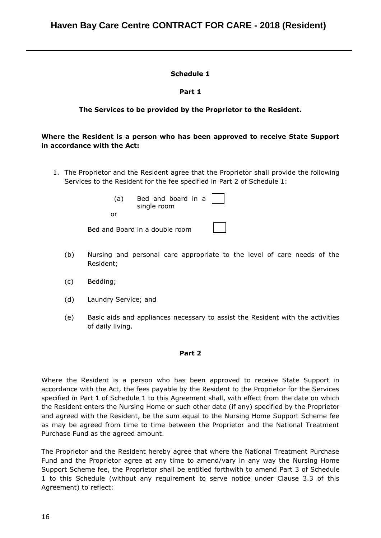#### **Schedule 1**

#### **Part 1**

#### **The Services to be provided by the Proprietor to the Resident.**

#### **Where the Resident is a person who has been approved to receive State Support in accordance with the Act:**

- 1. The Proprietor and the Resident agree that the Proprietor shall provide the following Services to the Resident for the fee specified in Part 2 of Schedule 1:
	- (a) Bed and board in a single room or

Bed and Board in a double room

- (b) Nursing and personal care appropriate to the level of care needs of the Resident;
- (c) Bedding;
- (d) Laundry Service; and
- (e) Basic aids and appliances necessary to assist the Resident with the activities of daily living.

#### **Part 2**

Where the Resident is a person who has been approved to receive State Support in accordance with the Act, the fees payable by the Resident to the Proprietor for the Services specified in Part 1 of Schedule 1 to this Agreement shall, with effect from the date on which the Resident enters the Nursing Home or such other date (if any) specified by the Proprietor and agreed with the Resident, be the sum equal to the Nursing Home Support Scheme fee as may be agreed from time to time between the Proprietor and the National Treatment Purchase Fund as the agreed amount.

The Proprietor and the Resident hereby agree that where the National Treatment Purchase Fund and the Proprietor agree at any time to amend/vary in any way the Nursing Home Support Scheme fee, the Proprietor shall be entitled forthwith to amend Part 3 of Schedule 1 to this Schedule (without any requirement to serve notice under Clause 3.3 of this Agreement) to reflect: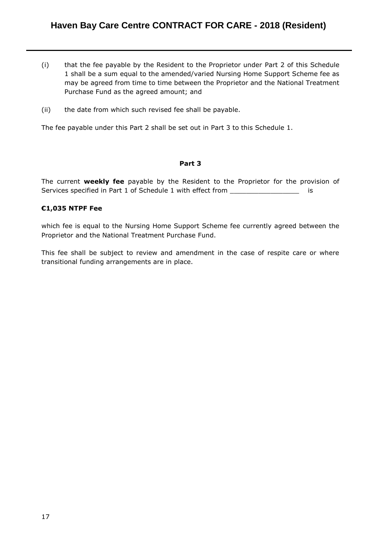- (i) that the fee payable by the Resident to the Proprietor under Part 2 of this Schedule 1 shall be a sum equal to the amended/varied Nursing Home Support Scheme fee as may be agreed from time to time between the Proprietor and the National Treatment Purchase Fund as the agreed amount; and
- (ii) the date from which such revised fee shall be payable.

The fee payable under this Part 2 shall be set out in Part 3 to this Schedule 1.

#### **Part 3**

The current **weekly fee** payable by the Resident to the Proprietor for the provision of Services specified in Part 1 of Schedule 1 with effect from \_\_\_\_\_\_\_\_\_\_\_\_\_\_\_\_\_\_\_\_\_ is

#### **€1,035 NTPF Fee**

which fee is equal to the Nursing Home Support Scheme fee currently agreed between the Proprietor and the National Treatment Purchase Fund.

This fee shall be subject to review and amendment in the case of respite care or where transitional funding arrangements are in place.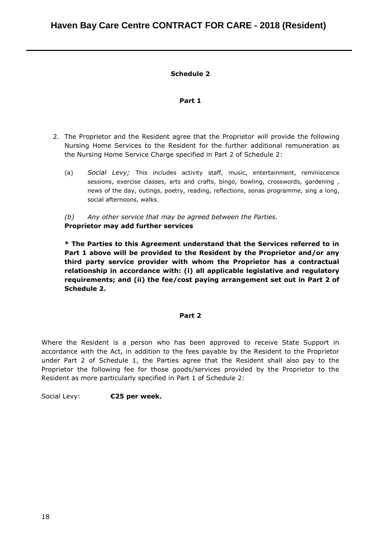### **Schedule 2**

#### **Part 1**

- 2. The Proprietor and the Resident agree that the Proprietor will provide the following Nursing Home Services to the Resident for the further additional remuneration as the Nursing Home Service Charge specified in Part 2 of Schedule 2:
	- (a) *Social Levy;* This includes activity staff, music, entertainment, reminiscence sessions, exercise classes, arts and crafts, bingo, bowling, crosswords, gardening , news of the day, outings, poetry, reading, reflections, sonas programme, sing a long, social afternoons, walks.
	- *(b) Any other service that may be agreed between the Parties.* **Proprietor may add further services**

**\* The Parties to this Agreement understand that the Services referred to in Part 1 above will be provided to the Resident by the Proprietor and/or any third party service provider with whom the Proprietor has a contractual relationship in accordance with: (i) all applicable legislative and regulatory requirements; and (ii) the fee/cost paying arrangement set out in Part 2 of Schedule 2.** 

#### **Part 2**

Where the Resident is a person who has been approved to receive State Support in accordance with the Act, in addition to the fees payable by the Resident to the Proprietor under Part 2 of Schedule 1, the Parties agree that the Resident shall also pay to the Proprietor the following fee for those goods/services provided by the Proprietor to the Resident as more particularly specified in Part 1 of Schedule 2:

Social Levy: **€25 per week.**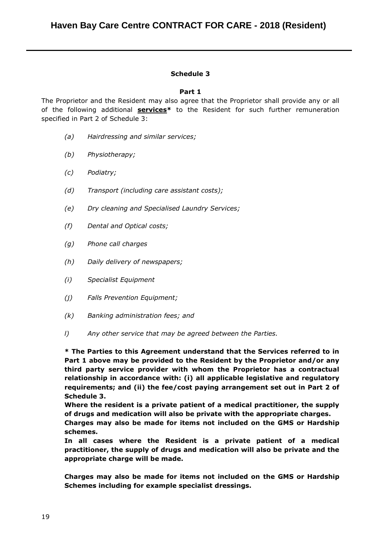#### **Schedule 3**

#### **Part 1**

The Proprietor and the Resident may also agree that the Proprietor shall provide any or all of the following additional **services\*** to the Resident for such further remuneration specified in Part 2 of Schedule 3:

- *(a) Hairdressing and similar services;*
- *(b) Physiotherapy;*
- *(c) Podiatry;*
- *(d) Transport (including care assistant costs);*
- *(e) Dry cleaning and Specialised Laundry Services;*
- *(f) Dental and Optical costs;*
- *(g) Phone call charges*
- *(h) Daily delivery of newspapers;*
- *(i) Specialist Equipment*
- *(j) Falls Prevention Equipment;*
- *(k) Banking administration fees; and*
- *l) Any other service that may be agreed between the Parties.*

**\* The Parties to this Agreement understand that the Services referred to in Part 1 above may be provided to the Resident by the Proprietor and/or any third party service provider with whom the Proprietor has a contractual relationship in accordance with: (i) all applicable legislative and regulatory requirements; and (ii) the fee/cost paying arrangement set out in Part 2 of Schedule 3.** 

**Where the resident is a private patient of a medical practitioner, the supply of drugs and medication will also be private with the appropriate charges.**

**Charges may also be made for items not included on the GMS or Hardship schemes.**

**In all cases where the Resident is a private patient of a medical practitioner, the supply of drugs and medication will also be private and the appropriate charge will be made.** 

**Charges may also be made for items not included on the GMS or Hardship Schemes including for example specialist dressings.**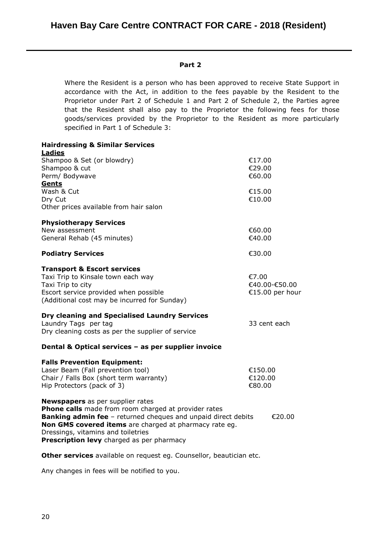#### **Part 2**

Where the Resident is a person who has been approved to receive State Support in accordance with the Act, in addition to the fees payable by the Resident to the Proprietor under Part 2 of Schedule 1 and Part 2 of Schedule 2, the Parties agree that the Resident shall also pay to the Proprietor the following fees for those goods/services provided by the Proprietor to the Resident as more particularly specified in Part 1 of Schedule 3:

| <b>Hairdressing &amp; Similar Services</b><br><b>Ladies</b>                                                                                                                                                                                                                                                   |                                           |
|---------------------------------------------------------------------------------------------------------------------------------------------------------------------------------------------------------------------------------------------------------------------------------------------------------------|-------------------------------------------|
| Shampoo & Set (or blowdry)<br>Shampoo & cut<br>Perm/ Bodywave                                                                                                                                                                                                                                                 | €17.00<br>€29.00<br>€60.00                |
| Gents<br>Wash & Cut<br>Dry Cut<br>Other prices available from hair salon                                                                                                                                                                                                                                      | €15.00<br>€10.00                          |
| <b>Physiotherapy Services</b><br>New assessment<br>General Rehab (45 minutes)                                                                                                                                                                                                                                 | €60.00<br>€40.00                          |
| <b>Podiatry Services</b>                                                                                                                                                                                                                                                                                      | €30.00                                    |
| <b>Transport &amp; Escort services</b><br>Taxi Trip to Kinsale town each way<br>Taxi Trip to city<br>Escort service provided when possible<br>(Additional cost may be incurred for Sunday)                                                                                                                    | €7.00<br>€40.00-€50.00<br>€15.00 per hour |
| Dry cleaning and Specialised Laundry Services<br>Laundry Tags per tag<br>Dry cleaning costs as per the supplier of service                                                                                                                                                                                    | 33 cent each                              |
| Dental & Optical services - as per supplier invoice                                                                                                                                                                                                                                                           |                                           |
| <b>Falls Prevention Equipment:</b><br>Laser Beam (Fall prevention tool)<br>Chair / Falls Box (short term warranty)<br>Hip Protectors (pack of 3)                                                                                                                                                              | €150.00<br>€120.00<br>€80.00              |
| <b>Newspapers</b> as per supplier rates<br>Phone calls made from room charged at provider rates<br>Banking admin fee - returned cheques and unpaid direct debits<br>Non GMS covered items are charged at pharmacy rate eg.<br>Dressings, vitamins and toiletries<br>Prescription levy charged as per pharmacy | €20.00                                    |
| $\sim$ $\sim$<br>$\sim$ $\sim$                                                                                                                                                                                                                                                                                |                                           |

**Other services** available on request eg. Counsellor, beautician etc.

Any changes in fees will be notified to you.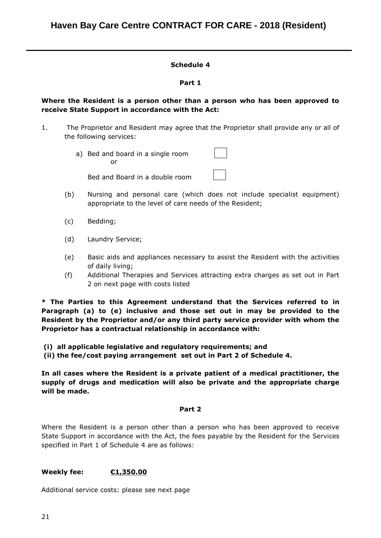#### **Schedule 4**

#### **Part 1**

#### **Where the Resident is a person other than a person who has been approved to receive State Support in accordance with the Act:**

- 1. The Proprietor and Resident may agree that the Proprietor shall provide any or all of the following services:
	- a) Bed and board in a single room or

Bed and Board in a double room

- (b) Nursing and personal care (which does not include specialist equipment) appropriate to the level of care needs of the Resident;
- (c) Bedding;
- (d) Laundry Service;
- (e) Basic aids and appliances necessary to assist the Resident with the activities of daily living;
- (f) Additional Therapies and Services attracting extra charges as set out in Part 2 on next page with costs listed

**\* The Parties to this Agreement understand that the Services referred to in Paragraph (a) to (e) inclusive and those set out in may be provided to the Resident by the Proprietor and/or any third party service provider with whom the Proprietor has a contractual relationship in accordance with:**

- **(i) all applicable legislative and regulatory requirements; and**
- **(ii) the fee/cost paying arrangement set out in Part 2 of Schedule 4.**

**In all cases where the Resident is a private patient of a medical practitioner, the supply of drugs and medication will also be private and the appropriate charge will be made.** 

#### **Part 2**

Where the Resident is a person other than a person who has been approved to receive State Support in accordance with the Act, the fees payable by the Resident for the Services specified in Part 1 of Schedule 4 are as follows:

#### **Weekly fee: €1,350.00**

Additional service costs: please see next page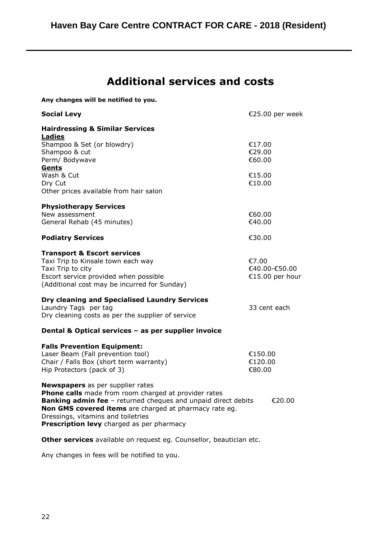# **Additional services and costs**

**Any changes will be notified to you.**

| <b>Social Levy</b>                                                                                                                                                                                                                                                                                     | €25.00 per week                           |
|--------------------------------------------------------------------------------------------------------------------------------------------------------------------------------------------------------------------------------------------------------------------------------------------------------|-------------------------------------------|
| <b>Hairdressing &amp; Similar Services</b><br><b>Ladies</b>                                                                                                                                                                                                                                            |                                           |
| Shampoo & Set (or blowdry)<br>Shampoo & cut<br>Perm/ Bodywave<br>Gents                                                                                                                                                                                                                                 | €17.00<br>€29.00<br>€60.00                |
| Wash & Cut<br>Dry Cut<br>Other prices available from hair salon                                                                                                                                                                                                                                        | €15.00<br>€10.00                          |
| <b>Physiotherapy Services</b><br>New assessment<br>General Rehab (45 minutes)                                                                                                                                                                                                                          | €60.00<br>€40.00                          |
| <b>Podiatry Services</b>                                                                                                                                                                                                                                                                               | €30.00                                    |
| <b>Transport &amp; Escort services</b><br>Taxi Trip to Kinsale town each way<br>Taxi Trip to city<br>Escort service provided when possible<br>(Additional cost may be incurred for Sunday)                                                                                                             | €7.00<br>€40.00-€50.00<br>€15.00 per hour |
| Dry cleaning and Specialised Laundry Services<br>Laundry Tags per tag<br>Dry cleaning costs as per the supplier of service                                                                                                                                                                             | 33 cent each                              |
| Dental & Optical services - as per supplier invoice                                                                                                                                                                                                                                                    |                                           |
| <b>Falls Prevention Equipment:</b><br>Laser Beam (Fall prevention tool)<br>Chair / Falls Box (short term warranty)<br>Hip Protectors (pack of 3)                                                                                                                                                       | €150.00<br>€120.00<br>€80.00              |
| Newspapers as per supplier rates<br>Phone calls made from room charged at provider rates<br>Banking admin fee - returned cheques and unpaid direct debits<br>Non GMS covered items are charged at pharmacy rate eg.<br>Dressings, vitamins and toiletries<br>Prescription levy charged as per pharmacy | €20.00                                    |
| the company's company's company's company's company's company's company's                                                                                                                                                                                                                              |                                           |

**Other services** available on request eg. Counsellor, beautician etc.

Any changes in fees will be notified to you.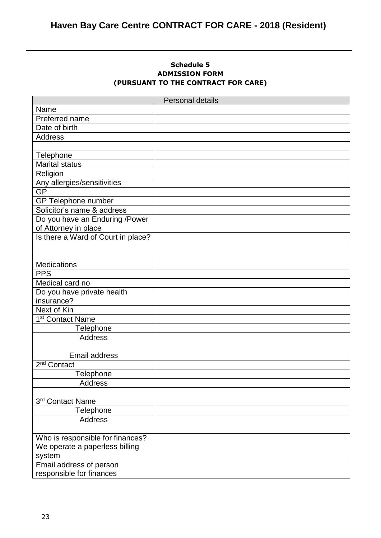#### **Schedule 5 ADMISSION FORM (PURSUANT TO THE CONTRACT FOR CARE)**

| <b>Personal details</b>            |  |  |  |  |
|------------------------------------|--|--|--|--|
| Name                               |  |  |  |  |
| Preferred name                     |  |  |  |  |
| Date of birth                      |  |  |  |  |
| <b>Address</b>                     |  |  |  |  |
|                                    |  |  |  |  |
| Telephone                          |  |  |  |  |
| <b>Marital status</b>              |  |  |  |  |
| Religion                           |  |  |  |  |
| Any allergies/sensitivities        |  |  |  |  |
| <b>GP</b>                          |  |  |  |  |
| GP Telephone number                |  |  |  |  |
| Solicitor's name & address         |  |  |  |  |
| Do you have an Enduring /Power     |  |  |  |  |
| of Attorney in place               |  |  |  |  |
| Is there a Ward of Court in place? |  |  |  |  |
|                                    |  |  |  |  |
|                                    |  |  |  |  |
| <b>Medications</b>                 |  |  |  |  |
| <b>PPS</b>                         |  |  |  |  |
| Medical card no                    |  |  |  |  |
| Do you have private health         |  |  |  |  |
| insurance?                         |  |  |  |  |
| Next of Kin                        |  |  |  |  |
| 1 <sup>st</sup> Contact Name       |  |  |  |  |
| Telephone                          |  |  |  |  |
| <b>Address</b>                     |  |  |  |  |
|                                    |  |  |  |  |
| <b>Email address</b>               |  |  |  |  |
| 2 <sup>nd</sup> Contact            |  |  |  |  |
| Telephone                          |  |  |  |  |
| Address                            |  |  |  |  |
|                                    |  |  |  |  |
| 3rd Contact Name                   |  |  |  |  |
| Telephone                          |  |  |  |  |
| <b>Address</b>                     |  |  |  |  |
|                                    |  |  |  |  |
| Who is responsible for finances?   |  |  |  |  |
| We operate a paperless billing     |  |  |  |  |
| system                             |  |  |  |  |
| Email address of person            |  |  |  |  |
| responsible for finances           |  |  |  |  |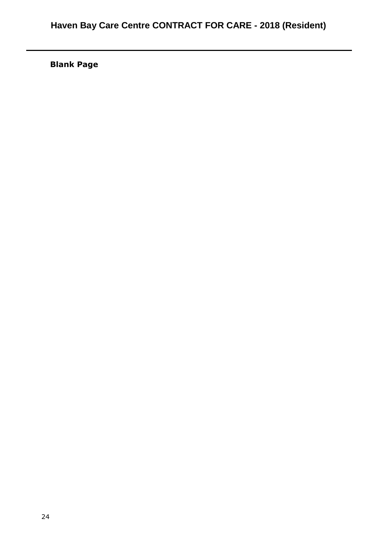**Blank Page**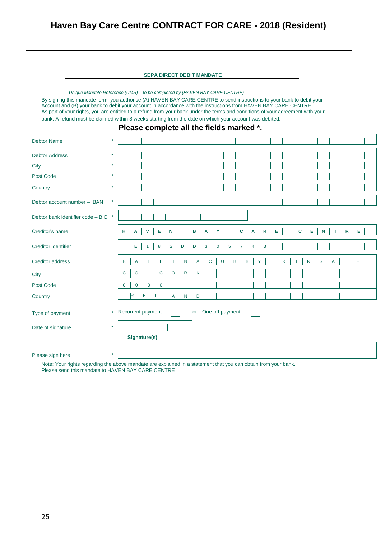#### **SEPA DIRECT DEBIT MANDATE**

#### *Unique Mandate Reference (UMR) – to be completed by (HAVEN BAY CARE CENTRE)*

By signing this mandate form, you authorise (A) HAVEN BAY CARE CENTRE to send instructions to your bank to debit your Account and (B) your bank to debit your account in accordance with the instructions from HAVEN BAY CARE CENTRE. As part of your rights, you are entitled to a refund from your bank under the terms and conditions of your agreement with your bank. A refund must be claimed within 8 weeks starting from the date on which your account was debited.

#### **Please complete all the fields marked \*.**

| <b>Debtor Name</b>                                                                                                                                                        | $\star$ |                   |              |              |                                                                                                                 |             |             |              |   |              |         |   |              |             |                 |             |                |                |   |              |   |                                                                                                                 |              |              |               |              |   |              |    |  |
|---------------------------------------------------------------------------------------------------------------------------------------------------------------------------|---------|-------------------|--------------|--------------|-----------------------------------------------------------------------------------------------------------------|-------------|-------------|--------------|---|--------------|---------|---|--------------|-------------|-----------------|-------------|----------------|----------------|---|--------------|---|-----------------------------------------------------------------------------------------------------------------|--------------|--------------|---------------|--------------|---|--------------|----|--|
| <b>Debtor Address</b>                                                                                                                                                     | $\star$ |                   |              |              |                                                                                                                 |             |             |              |   |              |         |   |              |             |                 |             |                |                |   |              |   |                                                                                                                 |              |              |               |              |   |              |    |  |
| City                                                                                                                                                                      | $\star$ |                   |              |              |                                                                                                                 |             |             |              |   |              |         |   |              |             |                 |             |                |                |   |              |   |                                                                                                                 |              |              |               |              |   |              |    |  |
| Post Code                                                                                                                                                                 | $\star$ |                   |              |              |                                                                                                                 |             |             |              |   |              |         |   |              |             |                 |             |                |                |   |              |   |                                                                                                                 |              |              |               |              |   |              |    |  |
| Country                                                                                                                                                                   | $\star$ |                   |              |              |                                                                                                                 |             |             |              |   |              |         |   |              |             |                 |             |                |                |   |              |   |                                                                                                                 |              |              |               |              |   |              |    |  |
| Debtor account number - IBAN                                                                                                                                              | $\star$ |                   |              |              |                                                                                                                 |             |             |              |   |              |         |   |              |             |                 |             |                |                |   |              |   |                                                                                                                 |              |              |               |              |   |              |    |  |
| Debtor bank identifier code - BIC *                                                                                                                                       |         |                   |              |              |                                                                                                                 |             |             |              |   |              |         |   |              |             |                 |             |                |                |   |              |   |                                                                                                                 |              |              |               |              |   |              |    |  |
| Creditor's name                                                                                                                                                           |         | н.                |              | A            | v                                                                                                               | Е           |             | N            |   |              | B       | A |              | Y           |                 |             | $\mathbf{C}$   | $\mathbf{A}$   |   | $\mathbf R$  | E |                                                                                                                 | $\mathbf{c}$ | E            | $\mathbf N$   | $\mathsf T$  |   | $\mathbb{R}$ | E  |  |
| Creditor identifier                                                                                                                                                       |         |                   |              | $\mathsf E$  |                                                                                                                 | 8           |             | $\mathbf{s}$ | D |              | D       | 3 |              | $\mathbf 0$ | 5               |             | $\overline{7}$ | $\overline{4}$ |   | $\mathbf{3}$ |   |                                                                                                                 |              |              |               |              |   |              |    |  |
| <b>Creditor address</b>                                                                                                                                                   |         | $\, {\bf B}$      |              | A            |                                                                                                                 |             |             |              |   | N            | A       |   | $\mathsf{C}$ | $\sf U$     |                 | $\mathsf B$ | $\, {\bf B}$   |                | Y |              |   | K                                                                                                               |              | $\mathsf{N}$ | ${\mathbf S}$ | $\mathsf{A}$ | L |              | E. |  |
| City                                                                                                                                                                      |         | ${\bf C}$         |              | $\circ$      |                                                                                                                 | $\mathbf C$ |             | $\circ$      |   | $\mathsf{R}$ | $\sf K$ |   |              |             |                 |             |                |                |   |              |   |                                                                                                                 |              |              |               |              |   |              |    |  |
| Post Code                                                                                                                                                                 |         | $\mathbf 0$       |              | $\mathbf{0}$ | $\mathbf 0$                                                                                                     |             | $\mathbf 0$ |              |   |              |         |   |              |             |                 |             |                |                |   |              |   |                                                                                                                 |              |              |               |              |   |              |    |  |
| Country                                                                                                                                                                   |         |                   | $\mathbb{R}$ |              | E                                                                                                               |             |             | A            |   | $\mathsf{N}$ | D       |   |              |             |                 |             |                |                |   |              |   |                                                                                                                 |              |              |               |              |   |              |    |  |
| Type of payment                                                                                                                                                           | $\star$ | Recurrent payment |              |              |                                                                                                                 |             |             |              |   |              | or      |   |              |             | One-off payment |             |                |                |   |              |   |                                                                                                                 |              |              |               |              |   |              |    |  |
| Date of signature                                                                                                                                                         | $\star$ |                   |              |              |                                                                                                                 |             |             |              |   |              |         |   |              |             |                 |             |                |                |   |              |   |                                                                                                                 |              |              |               |              |   |              |    |  |
|                                                                                                                                                                           |         |                   |              |              | Signature(s)                                                                                                    |             |             |              |   |              |         |   |              |             |                 |             |                |                |   |              |   |                                                                                                                 |              |              |               |              |   |              |    |  |
| Please sign here<br>the state of the state of the state of the state of the state of the state of the state of the state of the state of<br><b>Contact Contact Street</b> | $\star$ |                   |              |              | the contract of the contract of the contract of the contract of the contract of the contract of the contract of |             |             |              |   |              |         |   |              |             |                 |             |                |                |   |              |   | the contract of the contract of the contract of the contract of the contract of the contract of the contract of |              |              |               |              |   |              |    |  |

Note: Your rights regarding the above mandate are explained in a statement that you can obtain from your bank. Please send this mandate to HAVEN BAY CARE CENTRE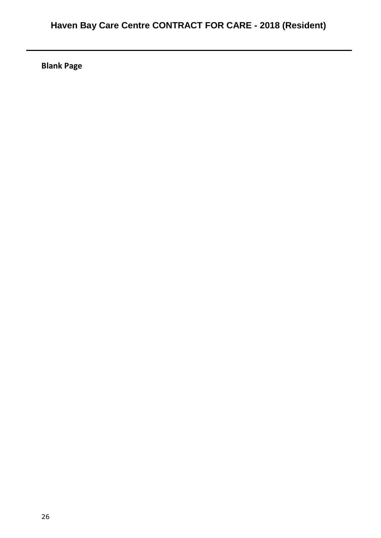**Blank Page**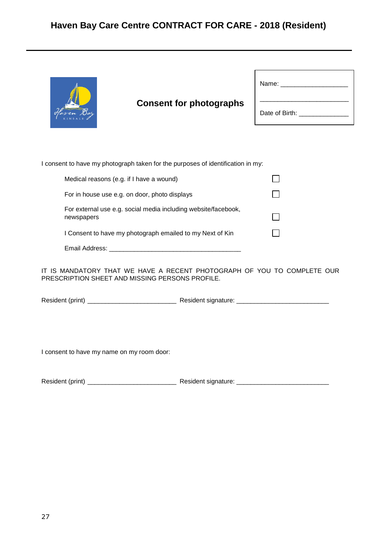

### **Consent for photographs**

| Name: ______       |  |
|--------------------|--|
| Date of Birth: ___ |  |

I consent to have my photograph taken for the purposes of identification in my:

| Medical reasons (e.g. if I have a wound)                                     |  |
|------------------------------------------------------------------------------|--|
| For in house use e.g. on door, photo displays                                |  |
| For external use e.g. social media including website/facebook,<br>newspapers |  |
| I Consent to have my photograph emailed to my Next of Kin                    |  |
| Email Address:                                                               |  |

IT IS MANDATORY THAT WE HAVE A RECENT PHOTOGRAPH OF YOU TO COMPLETE OUR PRESCRIPTION SHEET AND MISSING PERSONS PROFILE.

Resident (print) \_\_\_\_\_\_\_\_\_\_\_\_\_\_\_\_\_\_\_\_\_\_\_\_\_ Resident signature: \_\_\_\_\_\_\_\_\_\_\_\_\_\_\_\_\_\_\_\_\_\_\_\_\_\_

I consent to have my name on my room door:

Resident (print) example and the Resident signature:  $\blacksquare$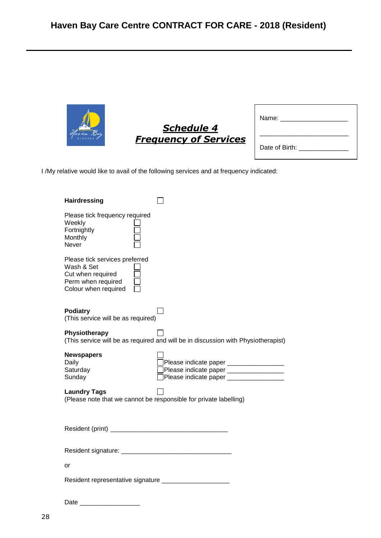| <b>Schedule 4</b>            | Name:          |
|------------------------------|----------------|
| <b>Frequency of Services</b> | Date of Birth: |

I /My relative would like to avail of the following services and at frequency indicated:

| <b>Hairdressing</b>                                                                                             |                                                                                                                                     |
|-----------------------------------------------------------------------------------------------------------------|-------------------------------------------------------------------------------------------------------------------------------------|
| Please tick frequency required<br>Weekly<br>Fortnightly<br>Monthly<br>Never                                     |                                                                                                                                     |
| Please tick services preferred<br>Wash & Set<br>Cut when required<br>Perm when required<br>Colour when required |                                                                                                                                     |
| <b>Podiatry</b><br>(This service will be as required)                                                           |                                                                                                                                     |
| Physiotherapy                                                                                                   | (This service will be as required and will be in discussion with Physiotherapist)                                                   |
| <b>Newspapers</b><br>Daily<br>Saturday<br>Sunday                                                                | ]Please indicate paper ___________________<br>Please indicate paper __________________<br>]Please indicate paper __________________ |
| <b>Laundry Tags</b>                                                                                             | (Please note that we cannot be responsible for private labelling)                                                                   |
|                                                                                                                 |                                                                                                                                     |
|                                                                                                                 |                                                                                                                                     |
| or                                                                                                              |                                                                                                                                     |
| Resident representative signature ________________________                                                      |                                                                                                                                     |
|                                                                                                                 |                                                                                                                                     |

Date \_\_\_\_\_\_\_\_\_\_\_\_\_\_\_\_\_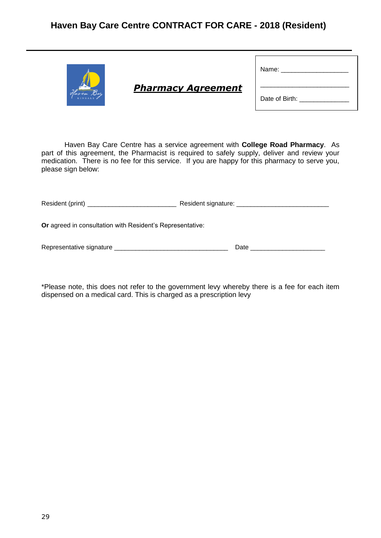## **Haven Bay Care Centre CONTRACT FOR CARE - 2018 (Resident)**

| en<br><b>KINSALE</b> |
|----------------------|

### *Pharmacy Agreement*

Name: \_\_\_\_\_\_\_\_\_\_\_\_\_\_\_\_\_\_\_ \_\_\_\_\_\_\_\_\_\_\_\_\_\_\_\_\_\_\_\_\_\_\_\_\_ Date of Birth: \_\_\_\_\_\_\_\_\_\_\_

Haven Bay Care Centre has a service agreement with **College Road Pharmacy**. As part of this agreement, the Pharmacist is required to safely supply, deliver and review your medication. There is no fee for this service. If you are happy for this pharmacy to serve you, please sign below:

| <b>Or</b> agreed in consultation with Resident's Representative: |                                                                                                                                                                                                                                |
|------------------------------------------------------------------|--------------------------------------------------------------------------------------------------------------------------------------------------------------------------------------------------------------------------------|
|                                                                  | Date and the contract of the contract of the contract of the contract of the contract of the contract of the contract of the contract of the contract of the contract of the contract of the contract of the contract of the c |

\*Please note, this does not refer to the government levy whereby there is a fee for each item dispensed on a medical card. This is charged as a prescription levy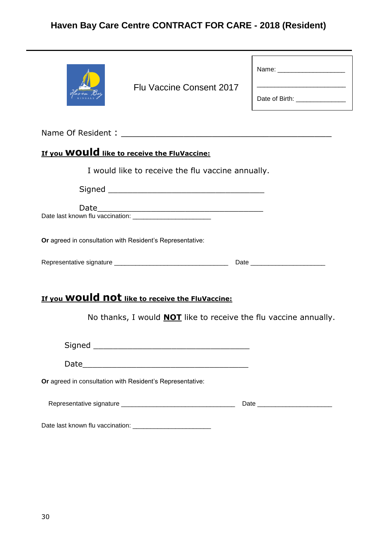## **Haven Bay Care Centre CONTRACT FOR CARE - 2018 (Resident)**

|                                                                                                                                    | <b>Flu Vaccine Consent 2017</b> | Name: _________________________<br><u> 1980 - Johann Barbara, martxa alemaniar arg</u><br>Date of Birth: _______________ |  |  |
|------------------------------------------------------------------------------------------------------------------------------------|---------------------------------|--------------------------------------------------------------------------------------------------------------------------|--|--|
|                                                                                                                                    |                                 |                                                                                                                          |  |  |
| If you <b>WOUID</b> like to receive the FluVaccine:                                                                                |                                 |                                                                                                                          |  |  |
| I would like to receive the flu vaccine annually.                                                                                  |                                 |                                                                                                                          |  |  |
|                                                                                                                                    |                                 |                                                                                                                          |  |  |
|                                                                                                                                    |                                 |                                                                                                                          |  |  |
| Or agreed in consultation with Resident's Representative:                                                                          |                                 |                                                                                                                          |  |  |
|                                                                                                                                    |                                 |                                                                                                                          |  |  |
| If you <b>WOUID NOT</b> like to receive the FluVaccine:<br>No thanks, I would <b>NOT</b> like to receive the flu vaccine annually. |                                 |                                                                                                                          |  |  |
|                                                                                                                                    |                                 |                                                                                                                          |  |  |
|                                                                                                                                    |                                 |                                                                                                                          |  |  |
| Or agreed in consultation with Resident's Representative:                                                                          |                                 |                                                                                                                          |  |  |
|                                                                                                                                    |                                 |                                                                                                                          |  |  |
|                                                                                                                                    |                                 |                                                                                                                          |  |  |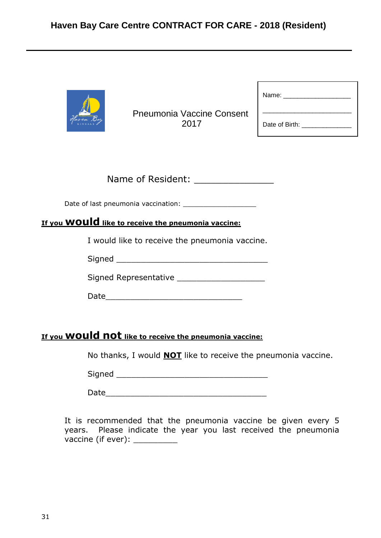

Pneumonia Vaccine Consent 2017

| Name: ______ |                               |
|--------------|-------------------------------|
|              | Date of Birth: Note of Birth: |

Name of Resident:

Date of last pneumonia vaccination:

### **If you would like to receive the pneumonia vaccine:**

I would like to receive the pneumonia vaccine.

Signed \_\_\_\_\_\_\_\_\_\_\_\_\_\_\_\_\_\_\_\_\_\_\_\_\_\_\_\_\_\_\_

Signed Representative \_\_\_\_\_\_\_\_\_\_\_\_\_\_\_\_\_\_

Date\_\_\_\_\_\_\_\_\_\_\_\_\_\_\_\_\_\_\_\_\_\_\_\_\_\_\_\_

## **If you would not like to receive the pneumonia vaccine:**

No thanks, I would **NOT** like to receive the pneumonia vaccine.

Signed **and**  $\overline{\phantom{a}}$  and  $\overline{\phantom{a}}$  and  $\overline{\phantom{a}}$  and  $\overline{\phantom{a}}$  and  $\overline{\phantom{a}}$  and  $\overline{\phantom{a}}$  and  $\overline{\phantom{a}}$  and  $\overline{\phantom{a}}$  and  $\overline{\phantom{a}}$  and  $\overline{\phantom{a}}$  and  $\overline{\phantom{a}}$  and  $\overline{\phantom{a}}$  and  $\overline{\phantom{a}}$  and

Date\_\_\_\_\_\_\_\_\_\_\_\_\_\_\_\_\_\_\_\_\_\_\_\_\_\_\_\_\_\_\_\_\_

It is recommended that the pneumonia vaccine be given every 5 years. Please indicate the year you last received the pneumonia vaccine (if ever): \_\_\_\_\_\_\_\_\_\_\_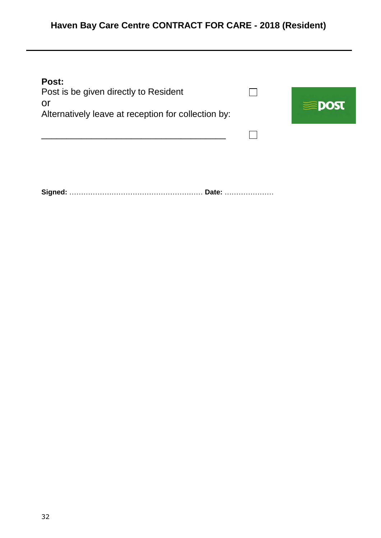| Post:<br>Post is be given directly to Resident<br>or<br>Alternatively leave at reception for collection by: |       | <b>DOST</b> |
|-------------------------------------------------------------------------------------------------------------|-------|-------------|
|                                                                                                             |       |             |
|                                                                                                             |       |             |
| Signed:                                                                                                     | Date: |             |